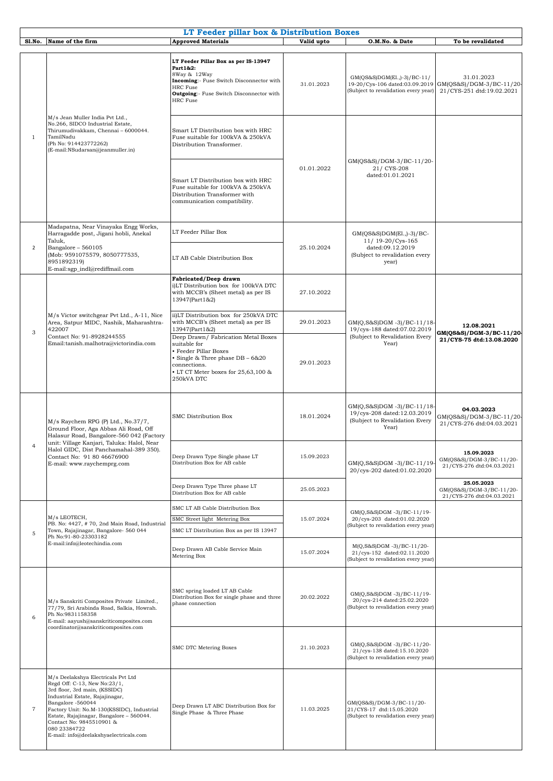|                |                                                                                                                                                                                                                                                                                                                                             | LT Feeder pillar box & Distribution Boxes                                                                                                                                                               |            |                                                                                                                |                                                                     |
|----------------|---------------------------------------------------------------------------------------------------------------------------------------------------------------------------------------------------------------------------------------------------------------------------------------------------------------------------------------------|---------------------------------------------------------------------------------------------------------------------------------------------------------------------------------------------------------|------------|----------------------------------------------------------------------------------------------------------------|---------------------------------------------------------------------|
| Sl.No.         | Name of the firm                                                                                                                                                                                                                                                                                                                            | <b>Approved Materials</b>                                                                                                                                                                               | Valid upto | O.M.No. & Date                                                                                                 | To be revalidated                                                   |
| $\mathbf{1}$   | M/s Jean Muller India Pvt Ltd.,<br>No.266, SIDCO Industrial Estate,<br>Thirumudivakkam, Chennai - 6000044.<br>TamilNadu<br>(Ph No: 914423772262)<br>(E-mail:NSudarsan@jeanmuller.in)                                                                                                                                                        | LT Feeder Pillar Box as per IS-13947<br>Part 1&2:<br>8Way & 12Way<br>Incoming:- Fuse Switch Disconnector with<br><b>HRC</b> Fuse<br><b>Outgoing:</b> - Fuse Switch Disconnector with<br><b>HRC</b> Fuse | 31.01.2023 | GM(QS&S)DGM(El.,)-3)/BC-11/<br>19-20/Cys-106 dated:03.09.2019<br>(Subject to revalidation every year)          | 31.01.2023<br>GM(QS&S)/DGM-3/BC-11/20-<br>21/CYS-251 dtd:19.02.2021 |
|                |                                                                                                                                                                                                                                                                                                                                             | Smart LT Distribution box with HRC<br>Fuse suitable for 100kVA & 250kVA<br>Distribution Transformer.                                                                                                    |            | GM(QS&S)/DGM-3/BC-11/20-<br>21/ CYS-208<br>dated:01.01.2021                                                    |                                                                     |
|                |                                                                                                                                                                                                                                                                                                                                             | Smart LT Distribution box with HRC<br>Fuse suitable for 100kVA & 250kVA<br>Distribution Transformer with<br>communication compatibility.                                                                | 01.01.2022 |                                                                                                                |                                                                     |
|                | Madapatna, Near Vinayaka Engg Works,<br>Harragadde post, Jigani hobli, Anekal<br>Taluk,<br>Bangalore - 560105<br>(Mob: 9591075579, 8050777535,<br>8951892319)<br>E-mail:sgp_indl@rediffmail.com                                                                                                                                             | LT Feeder Pillar Box                                                                                                                                                                                    | 25.10.2024 | $GM(QS&S)DGM(E1, -3)/BC$ -<br>11/ 19-20/Cys-165<br>dated:09.12.2019<br>(Subject to revalidation every<br>year) |                                                                     |
| $\overline{2}$ |                                                                                                                                                                                                                                                                                                                                             | LT AB Cable Distribution Box                                                                                                                                                                            |            |                                                                                                                |                                                                     |
| 3              | M/s Victor switchgear Pvt Ltd., A-11, Nice<br>Area, Satpur MIDC, Nashik, Maharashtra-<br>422007<br>Contact No: 91-8928244555<br>Email:tanish.malhotra@victorindia.com                                                                                                                                                                       | Fabricated/Deep drawn<br>i)LT Distribution box for 100kVA DTC<br>with MCCB's (Sheet metal) as per IS<br>13947(Part1&2)                                                                                  | 27.10.2022 | GM(Q,S&S)DGM -3)/BC-11/18-<br>19/cys-188 dated:07.02.2019<br>(Subject to Revalidation Every<br>Year)           |                                                                     |
|                |                                                                                                                                                                                                                                                                                                                                             | ii)LT Distribution box for 250kVA DTC<br>with MCCB's (Sheet metal) as per IS<br>13947(Part1&2)                                                                                                          | 29.01.2023 |                                                                                                                | 12.08.2021<br>GM(QS&S)/DGM-3/BC-11/20<br>21/CYS-75 dtd:13.08.2020   |
|                |                                                                                                                                                                                                                                                                                                                                             | Deep Drawn/Fabrication Metal Boxes<br>suitable for<br>· Feeder Pillar Boxes<br>• Single & Three phase DB - 6&20<br>connections.<br>• LT CT Meter boxes for 25,63,100 &<br>250kVA DTC                    | 29.01.2023 |                                                                                                                |                                                                     |
|                | M/s Raychem RPG (P) Ltd., No.37/7,<br>Ground Floor, Aga Abbas Ali Road, Off<br>Halasur Road, Bangalore-560 042 (Factory<br>unit: Village Kanjari, Taluka: Halol, Near<br>Halol GIDC, Dist Panchamahal-389 350).<br>Contact No: 91 80 46676900<br>E-mail: www.raychemprg.com                                                                 | SMC Distribution Box                                                                                                                                                                                    | 18.01.2024 | GM(Q,S&S)DGM -3)/BC-11/18-<br>19/cys-208 dated:12.03.2019<br>(Subject to Revalidation Every<br>Year)           | 04.03.2023<br>GM(QS&S)/DGM-3/BC-11/20-<br>21/CYS-276 dtd:04.03.2021 |
|                |                                                                                                                                                                                                                                                                                                                                             | Deep Drawn Type Single phase LT<br>Distribution Box for AB cable                                                                                                                                        | 15.09.2023 | GM(Q,S&S)DGM-3)/BC-11/19<br>20/cys-202 dated:01.02.2020                                                        | 15.09.2023<br>GM(QS&S)/DGM-3/BC-11/20-<br>21/CYS-276 dtd:04.03.2021 |
|                |                                                                                                                                                                                                                                                                                                                                             | Deep Drawn Type Three phase LT<br>Distribution Box for AB cable                                                                                                                                         | 25.05.2023 |                                                                                                                | 25.05.2023<br>GM(QS&S)/DGM-3/BC-11/20-<br>21/CYS-276 dtd:04.03.2021 |
| 5              | M/s LEOTECH,<br>PB. No: 4427, #70, 2nd Main Road, Industrial<br>Town, Rajajinagar, Bangalore- 560 044<br>Ph No:91-80-23303182<br>E-mail:info@leotechindia.com                                                                                                                                                                               | SMC LT AB Cable Distribution Box<br>SMC Street light Metering Box<br>SMC LT Distribution Box as per IS 13947                                                                                            | 15.07.2024 | GM(Q,S&S)DGM-3)/BC-11/19-<br>20/cys-203 dated:01.02.2020<br>Subject to revalidation every year)                |                                                                     |
|                |                                                                                                                                                                                                                                                                                                                                             | Deep Drawn AB Cable Service Main<br>Metering Box                                                                                                                                                        | 15.07.2024 | M(Q,S&S)DGM -3)/BC-11/20-<br>21/cys-152 dated:02.11.2020<br>Subject to revalidation every year)                |                                                                     |
| 6              | M/s Sanskriti Composites Private Limited.,<br>77/79, Sri Arabinda Road, Salkia, Howrah.<br>Ph No:9831158358<br>E-mail: aayush@sanskriticomposites.com<br>coordinator@sanskriticomposites.com                                                                                                                                                | SMC spring loaded LT AB Cable<br>Distribution Box for single phase and three<br>phase connection                                                                                                        | 20.02.2022 | GM(Q,S&S)DGM-3)/BC-11/19-<br>20/cys-214 dated:25.02.2020<br>Subject to revalidation every year)                |                                                                     |
|                |                                                                                                                                                                                                                                                                                                                                             | SMC DTC Metering Boxes                                                                                                                                                                                  | 21.10.2023 | GM(Q,S&S)DGM-3)/BC-11/20-<br>21/cys-138 dated:15.10.2020<br>Subject to revalidation every year)                |                                                                     |
| $\overline{7}$ | M/s Deelakshya Electricals Pvt Ltd<br>Regd Off: C-13, New No:23/1,<br>3rd floor, 3rd main, (KSSIDC)<br>Industrial Estate, Rajajinagar,<br>Bangalore -560044<br>Factory Unit: No.M-130(KSSIDC), Industrial<br>Estate, Rajajinagar, Bangalore - 560044.<br>Contact No: 9845510901 &<br>080 23384722<br>E-mail: info@deelakshyaelectricals.com | Deep Drawn LT ABC Distribution Box for<br>Single Phase & Three Phase                                                                                                                                    | 11.03.2025 | GM(QS&S)/DGM-3/BC-11/20-<br>21/CYS-17 dtd:15.05.2020<br>(Subject to revalidation every year)                   |                                                                     |